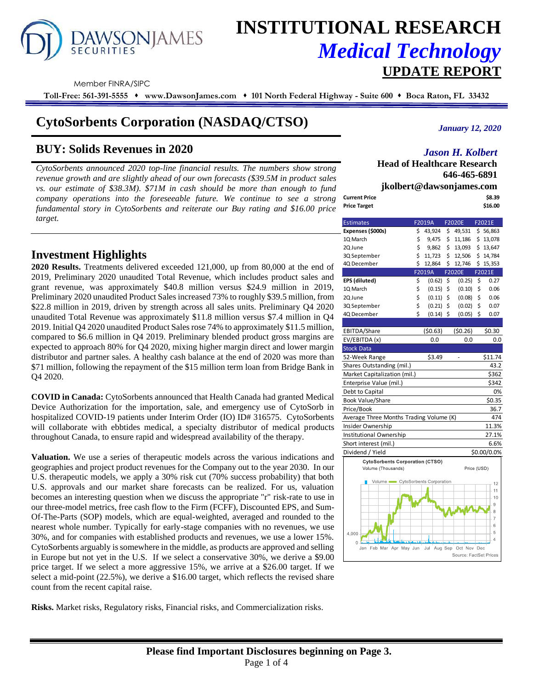# **AWSONJAMES**

# **INSTITUTIONAL RESEARCH** *Medical Technology*  **UPDATE REPORT**

Member FINRA/SIPC

**Toll-Free: 561-391-5555** ⬧ **www.DawsonJames.com** ⬧ **101 North Federal Highway - Suite 600** ⬧ **Boca Raton, FL 33432**

# **CytoSorbents Corporation (NASDAQ/CTSO)**

# **BUY: Solids Revenues in 2020**

*CytoSorbents announced 2020 top-line financial results. The numbers show strong revenue growth and are slightly ahead of our own forecasts (\$39.5M in product sales vs. our estimate of \$38.3M). \$71M in cash should be more than enough to fund company operations into the foreseeable future. We continue to see a strong fundamental story in CytoSorbents and reiterate our Buy rating and \$16.00 price target.*

*January 12, 2020*

### *Jason H. Kolbert*

**Head of Healthcare Research 646-465-6891 jkolbert@dawsonjames.com Current Price \$8.39**

| CUITEIIL FIILE | ,,,,,,  |
|----------------|---------|
| Price Target   | \$16.00 |
|                |         |

## **Investment Highlights**

**2020 Results.** Treatments delivered exceeded 121,000, up from 80,000 at the end of 2019, Preliminary 2020 unaudited Total Revenue, which includes product sales and grant revenue, was approximately \$40.8 million versus \$24.9 million in 2019, Preliminary 2020 unaudited Product Sales increased 73% to roughly \$39.5 million, from \$22.8 million in 2019, driven by strength across all sales units. Preliminary Q4 2020 unaudited Total Revenue was approximately \$11.8 million versus \$7.4 million in Q4 2019. Initial Q4 2020 unaudited Product Sales rose 74% to approximately \$11.5 million, compared to \$6.6 million in Q4 2019. Preliminary blended product gross margins are expected to approach 80% for Q4 2020, mixing higher margin direct and lower margin distributor and partner sales. A healthy cash balance at the end of 2020 was more than \$71 million, following the repayment of the \$15 million term loan from Bridge Bank in Q4 2020.

**COVID in Canada:** CytoSorbents announced that Health Canada had granted Medical Device Authorization for the importation, sale, and emergency use of CytoSorb in hospitalized COVID-19 patients under Interim Order (IO) ID# 316575. CytoSorbents will collaborate with ebbtides medical, a specialty distributor of medical products throughout Canada, to ensure rapid and widespread availability of the therapy.

**Valuation.** We use a series of therapeutic models across the various indications and geographies and project product revenues for the Company out to the year 2030. In our U.S. therapeutic models, we apply a 30% risk cut (70% success probability) that both U.S. approvals and our market share forecasts can be realized. For us, valuation becomes an interesting question when we discuss the appropriate "r" risk-rate to use in our three-model metrics, free cash flow to the Firm (FCFF), Discounted EPS, and Sum-Of-The-Parts (SOP) models, which are equal-weighted, averaged and rounded to the nearest whole number. Typically for early-stage companies with no revenues, we use 30%, and for companies with established products and revenues, we use a lower 15%. CytoSorbents arguably is somewhere in the middle, as products are approved and selling in Europe but not yet in the U.S. If we select a conservative 30%, we derive a \$9.00 price target. If we select a more aggressive 15%, we arrive at a \$26.00 target. If we select a mid-point (22.5%), we derive a \$16.00 target, which reflects the revised share count from the recent capital raise.

**Risks.** Market risks, Regulatory risks, Financial risks, and Commercialization risks.

| <b>Estimates</b>                        |    | F2019A         |    | <b>F2020E</b> | F2021E         |  |  |  |
|-----------------------------------------|----|----------------|----|---------------|----------------|--|--|--|
| Expenses (\$000s)                       | \$ | 43,924         | \$ | 49,531        | \$56,863       |  |  |  |
| 1Q March                                | \$ | 9,475          | \$ | 11,186        | \$13,078       |  |  |  |
| 2Q June                                 | \$ | 9,862          | \$ | 13,093        | \$13,647       |  |  |  |
| 3Q September                            | \$ | 11,723         | \$ | 12,506        | \$14,784       |  |  |  |
| 4Q December                             | \$ | 12,864         | \$ | 12,746        | \$15,353       |  |  |  |
|                                         |    | F2019A         |    | <b>F2020E</b> | F2021E         |  |  |  |
| EPS (diluted)                           | \$ | (0.62)         | \$ | (0.25)        | \$<br>0.27     |  |  |  |
| 1Q March                                | \$ | (0.15)         | \$ | (0.10)        | \$<br>0.06     |  |  |  |
| 2Q June                                 | \$ | (0.11)         | \$ | (0.08)        | \$<br>0.06     |  |  |  |
| 3Q September                            | \$ | (0.21)         | \$ | (0.02)        | \$<br>0.07     |  |  |  |
| 4Q December                             | Ś  | (0.14)         | \$ | (0.05)        | \$<br>0.07     |  |  |  |
|                                         |    |                |    |               |                |  |  |  |
| EBITDA/Share                            |    | (50.63)        |    | (50.26)       | \$0.30         |  |  |  |
| EV/EBITDA (x)                           |    | 0.0            |    | 0.0           | 0.0            |  |  |  |
| <b>Stock Data</b>                       |    |                |    |               |                |  |  |  |
| 52-Week Range                           |    | \$3.49         |    |               | \$11.74        |  |  |  |
| Shares Outstanding (mil.)               |    |                |    |               | 43.2           |  |  |  |
| Market Capitalization (mil.)            |    |                |    |               | \$362          |  |  |  |
| Enterprise Value (mil.)                 |    |                |    |               | \$342          |  |  |  |
| Debt to Capital                         |    |                |    |               | 0%             |  |  |  |
| Book Value/Share                        |    |                |    |               | \$0.35         |  |  |  |
| Price/Book                              |    |                |    |               | 36.7           |  |  |  |
| Average Three Months Trading Volume (K) |    |                |    |               | 474            |  |  |  |
| Insider Ownership                       |    |                |    |               | 11.3%          |  |  |  |
| Institutional Ownership                 |    |                |    |               | 27.1%          |  |  |  |
| Short interest (mil.)                   |    |                |    |               | 6.6%           |  |  |  |
| Dividend / Yield                        |    |                |    |               | \$0.00/0.0%    |  |  |  |
| <b>CytoSorbents Corporation (CTSO)</b>  |    |                |    |               |                |  |  |  |
| Volume (Thousands)                      |    |                |    |               | Price (USD)    |  |  |  |
| Volume CytoSorbents Corporation         |    |                |    |               |                |  |  |  |
|                                         |    |                |    |               | 12<br>11       |  |  |  |
|                                         |    |                |    |               | 10             |  |  |  |
|                                         |    |                |    |               | 9              |  |  |  |
|                                         |    |                |    |               | 8              |  |  |  |
|                                         |    |                |    |               | $\overline{7}$ |  |  |  |
| 4,000                                   |    |                |    |               | 6<br>5         |  |  |  |
|                                         |    |                |    |               | $\overline{4}$ |  |  |  |
| 0<br>Jan<br>Feb Mar Apr May Jun         |    | Aug Sep<br>Jul |    | Oct Nov       | Dec            |  |  |  |

Source: FactSet Price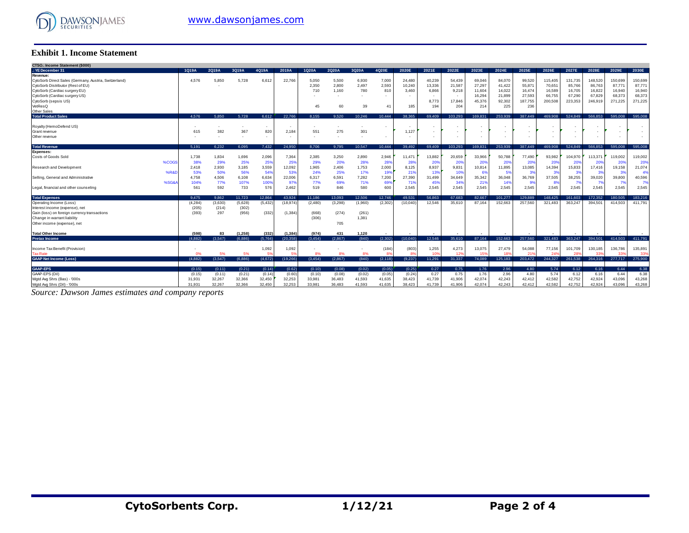

#### **Exhibit 1. Income Statement**

| <b>Exhibit 1. Income Statement</b>                                                                                                                                      |                            |                         |                           |                    |                       |                           |                         |                           |                       |                           |                                                      |                               |                            |                            |                           |                               |                             |                             |                            |                             |
|-------------------------------------------------------------------------------------------------------------------------------------------------------------------------|----------------------------|-------------------------|---------------------------|--------------------|-----------------------|---------------------------|-------------------------|---------------------------|-----------------------|---------------------------|------------------------------------------------------|-------------------------------|----------------------------|----------------------------|---------------------------|-------------------------------|-----------------------------|-----------------------------|----------------------------|-----------------------------|
| CTSO.: Income Statement (\$000)                                                                                                                                         |                            |                         |                           |                    |                       |                           |                         |                           |                       |                           |                                                      |                               |                            |                            |                           |                               |                             |                             |                            |                             |
| .: YE December 31                                                                                                                                                       | 1Q19A                      | 2Q19A                   | 3Q19A                     | 4Q19A              | 2019A                 | 1020A                     | 2Q20A                   | 3Q20A                     | 4Q20E                 | 2020E                     | 2021E                                                | 2022E                         | 2023E                      | 2024E                      | 2025E                     | 2026E                         | 2027E                       | 2028E                       | 2029E                      | 2030E                       |
| Revenue:<br>CytoSorb Direct Sales (Germany, Austria, Switzerland)<br>CytoSorb Distributor (Rest of EU)<br>CytoSorb (Cardiac surgery EU)                                 | 4.576                      | 5,850                   | 5.728                     | 6,61               | 22.766                | 5.050<br>2,350<br>710     | 5.500<br>2,800<br>1.160 | 6,930<br>2.497<br>780     | 7,000<br>2,593<br>810 | 24,480<br>10,240<br>3.460 | 40.239<br>13,336<br>6,866                            | 54.439<br>21,587<br>9,218     | 69.046<br>27,297<br>11,604 | 84.070<br>41.422<br>14.022 | 99.520<br>55,87<br>16,474 | 115,405<br>70,651<br>16,589   | 131.735<br>85,766<br>16,705 | 148,520<br>86,763<br>16,822 | 150,699<br>87,77<br>16,940 | 150,699<br>87,771<br>16,940 |
| CytoSorb (Cardiac surgery US)<br>CytoSorb (sepsis US)<br>VetResQ<br>Other Sales                                                                                         |                            |                         |                           |                    |                       | 45                        | 60                      | 39                        | 41                    | 185                       | $\sim$<br>8,773<br>194                               | $\sim$<br>17,846<br>204       | 16,294<br>45,376<br>214    | 21.899<br>92.302<br>225    | 27,593<br>187,755<br>236  | 66,755<br>200,508             | 67,290<br>223,353           | 67.829<br>246,919           | 68,373<br>271,225          | 68,373<br>271,225           |
| <b>Total Product Sales</b>                                                                                                                                              | 4.576                      | 5.850                   | 5.728                     | 6.612              | 22.766                | 8.155                     | 9.520                   | 10.246                    | 10.444                | 38.365                    | 69,409                                               | 103.293                       | 169.831                    | 253.939                    | 387.449                   | 469.908                       | 524.849                     | 566.853                     | 595.008                    | 595.008                     |
| Royalty (HemoDefend US)<br>Grant revenue<br>Other revenue                                                                                                               | 615                        | 382                     | 367                       | $\sim$<br>820<br>٠ | 2,184                 | 551                       | 275                     | 301                       |                       | 1,127                     | $\overline{\phantom{a}}$<br>$\overline{\phantom{a}}$ | ٠<br>$\overline{\phantom{a}}$ |                            |                            |                           | $\overline{\phantom{a}}$<br>٠ |                             |                             |                            |                             |
| <b>Total Revenue</b>                                                                                                                                                    | 5.191                      | 6.232                   | 6.095                     | 7.432              | 24.950                | 8.706                     | 9.795                   | 10.547                    | 10.444                | 39.492                    | 69.409                                               | 103.293                       | 169.831                    | 253.939                    | 387.449                   | 469.908                       | 524.849                     | 566.853                     | 595.008                    | 595.008                     |
| <b>Expenses:</b>                                                                                                                                                        |                            |                         |                           |                    |                       |                           |                         |                           |                       |                           |                                                      |                               |                            |                            |                           |                               |                             |                             |                            |                             |
| <b>Costs of Goods Sold</b><br>%COG                                                                                                                                      | 1.738<br>38%               | 1,834<br>29%            | 1,696<br>25%              | 2,096<br>25%       | 7.364<br>25%          | 2.385<br>29%              | 3,250<br>20%            | 2,890<br>28%              | 2,946<br>28%          | 11.471<br>28%             | 13,882<br>20%                                        | 20,659<br>20%                 | 33,966<br>20%              | 50.788<br>20%              | 77,490<br>20%             | 93.982<br>20%                 | 104.970<br>-20%             | 113,371<br>20%              | 119,002<br>20 <sup>o</sup> | 119,002<br>20%              |
| Research and Development<br>%R&I                                                                                                                                        | 2.418<br>53%               | 2,930<br>50%            | 3,185<br>56%              | 3,559<br>54%       | 12,092<br>53%         | 1,965<br>24%              | 2.406<br>25%            | 1,753<br>17%              | 2,000<br>19%          | 8,125<br>219              | 8,937<br>13%                                         | 9,831<br>10%                  | 10,814<br>6%               | 11,895<br>5%               | 13,085<br>3%              | 14,394<br>3 <sup>9</sup>      | 15,833                      | 17,416<br>3%                | 19,158<br>$\mathbf{3}$     | 21,074<br>4%                |
| Selling, General and Administrative<br>%SG&                                                                                                                             | 4,758<br>104%              | 4,506<br>77%            | 6,108<br>107%             | 6,634<br>100%      | 22,006<br>97%         | 6,317<br>77%              | 6.591<br>69%            | 7,282<br>71%              | 7,200<br>699          | 27,390<br>719             | 31,499<br>45%                                        | 34,649<br>349                 | 35,342<br>219              | 36,048<br>149              | 36,769<br>9%              | 37,505<br>-89                 | 38,255<br>79                | 39,020<br>7%                | 39,800                     | 40,596<br>7%                |
| Legal, financial and other counseling                                                                                                                                   | 561                        | 592                     | 733                       | 576                | 2,462                 | 519                       | 846                     | 580                       | 600                   | 2,545                     | 2,545                                                | 2,545                         | 2,545                      | 2,545                      | 2,545                     | 2,545                         | 2,545                       | 2,545                       | 2,545                      | 2,545                       |
| <b>Total Expenses</b>                                                                                                                                                   | 9.475                      | 9.862                   | 11.723                    | 12.864             | 43.924                | 11.186                    | 13.093                  | 12.506                    | 12.746                | 49.531                    | 56,863                                               | 67.683                        | 82.667                     | 101.277                    | 129,889                   | 148.425                       | 161.603                     | 172.352                     | 180.505                    | 183.216                     |
| Operating Income (Loss)<br>Interest income (expense), net<br>Gain (loss) on foreign currency transactions<br>Change in warrant liability<br>Other income (expense), net | (4, 284)<br>(205)<br>(393) | (3,630)<br>(214)<br>297 | (5,628)<br>(302)<br>(956) | (5, 432)<br>(332)  | (18, 974)<br>(1, 384) | (2.480)<br>(668)<br>(306) | (3.298)<br>(274)<br>705 | (1,960)<br>(261)<br>1,381 | (2.302)               | (10.040)                  | 12.546                                               | 35.610                        | 87.164                     | 152.663                    | 257,560                   | 321.483                       | 363.247                     | 394.501                     | 414.503                    | 411.791                     |
| <b>Total Other Income</b>                                                                                                                                               | (598)                      | 83                      | (1.258)                   | (332)              | (1.384)               | (974)                     | 431                     | 1.120                     |                       |                           |                                                      |                               |                            |                            |                           |                               |                             |                             |                            |                             |
| <b>Pretax Income</b>                                                                                                                                                    | (4.882)                    | (3.547)                 | (6.886)                   | (5.764)            | (20.358)              | (3.454)                   | (2.867)                 | (840)                     | (2.302)               | (10.040)                  | 12.546                                               | 35.610                        | 87.164                     | 152.663                    | 257.560                   | 321,483                       | 363.247                     | 394.501                     | 414.503                    | 411.791                     |
| Income Tax Benefit (Provision)<br><b>Tax Rate</b>                                                                                                                       | 0%                         | 5%                      | 5%                        | 1,092              | 1,092<br>51           | 8%                        | 8%                      | ٠<br>8%                   | (184)<br>$8^{\circ}$  | (803)<br>8%               | 1,255<br>10 <sup>6</sup>                             | 4,273<br>125                  | 13,075<br>159              | 27,479<br>18%              | 54,088<br>21 <sup>1</sup> | 77,156<br>24 <sup>°</sup>     | 101,709<br>28               | 130,185<br>335              | 136,786<br>33'             | 135,891<br>33%              |
| <b>GAAP Net Income (Loss)</b>                                                                                                                                           | (4.882)                    | (3.547)                 | (6.886)                   | (4,672)            | (19, 266)             | (3.454)                   | (2.867)                 | (840)                     | (2, 118)              | (9,237)                   | 11,291                                               | 31.337                        | 74.089                     | 125.183                    | 203,472                   | 244.327                       | 261.538                     | 264,316                     | 277.717                    | 275,900                     |
| <b>GAAP-EPS</b>                                                                                                                                                         | (0.15)                     | (0.11)                  | (0.21)                    | (0.14)             | (0.62)                | (0.10)                    | (0.08)                  | (0.02)                    | (0.05)                | (0.25)                    | 0.27                                                 | 0.75                          | 1.76                       | 2.96                       | 4.80                      | 5.74                          | 6.12                        | 6.16                        | 6.44                       | 6.38                        |
| GAAP-EPS (Dil)<br>Watd Ava Shrs (Bas) - '000s                                                                                                                           | (0.15)<br>31.931           | (0.11)<br>32.267        | (0.21)<br>32.366          | (0.14)<br>32.450   | (0.60)<br>32.253      | (0.10)<br>33.981          | (0.08)<br>36.483        | (0.02)<br>41.593          | (0.05)<br>41,635      | (0.24)<br>38.423          | 0.27<br>41.739                                       | 0.75<br>41.906                | 1.76<br>42.074             | 2.96<br>42.243             | 4.80<br>42.412            | 5.74<br>42.582                | 6.12<br>42.752              | 6.16<br>42.924              | 6.44<br>43.096             | 6.38<br>43,268              |
| Wgtd Avg Shrs (Dil) - '000s                                                                                                                                             | 31.931                     | 32.267                  | 32.366                    | 32.450             | 32.253                | 33.981                    | 36.483                  | 41.593                    | 41.635                | 38.423                    | 41.739                                               | 41.906                        | 42.074                     | 42.243                     | 42.412                    | 42.582                        | 42.752                      | 42.924                      | 43.096                     | 43,268                      |

*Source: Dawson James estimates and company reports*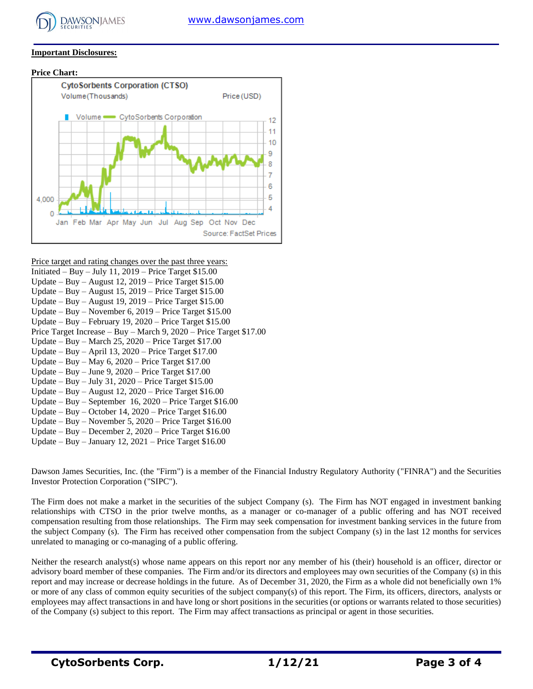

#### **Important Disclosures:**

#### **Price Chart:**



Price target and rating changes over the past three years: Initiated – Buy – July 11, 2019 – Price Target \$15.00 Update – Buy – August 12, 2019 – Price Target \$15.00 Update – Buy – August 15, 2019 – Price Target \$15.00 Update – Buy – August 19, 2019 – Price Target \$15.00 Update – Buy – November 6, 2019 – Price Target \$15.00 Update – Buy – February 19, 2020 – Price Target \$15.00 Price Target Increase – Buy – March 9, 2020 – Price Target \$17.00 Update – Buy – March 25, 2020 – Price Target \$17.00 Update – Buy – April 13, 2020 – Price Target \$17.00 Update – Buy – May  $6, 2020$  – Price Target \$17.00 Update – Buy – June 9, 2020 – Price Target \$17.00 Update – Buy – July 31, 2020 – Price Target \$15.00 Update – Buy – August 12, 2020 – Price Target \$16.00 Update – Buy – September 16, 2020 – Price Target \$16.00 Update – Buy – October 14, 2020 – Price Target \$16.00 Update – Buy – November 5, 2020 – Price Target \$16.00 Update – Buy – December 2, 2020 – Price Target \$16.00 Update – Buy – January 12, 2021 – Price Target \$16.00

Dawson James Securities, Inc. (the "Firm") is a member of the Financial Industry Regulatory Authority ("FINRA") and the Securities Investor Protection Corporation ("SIPC").

The Firm does not make a market in the securities of the subject Company (s). The Firm has NOT engaged in investment banking relationships with CTSO in the prior twelve months, as a manager or co-manager of a public offering and has NOT received compensation resulting from those relationships. The Firm may seek compensation for investment banking services in the future from the subject Company (s). The Firm has received other compensation from the subject Company (s) in the last 12 months for services unrelated to managing or co-managing of a public offering.

Neither the research analyst(s) whose name appears on this report nor any member of his (their) household is an officer, director or advisory board member of these companies. The Firm and/or its directors and employees may own securities of the Company (s) in this report and may increase or decrease holdings in the future. As of December 31, 2020, the Firm as a whole did not beneficially own 1% or more of any class of common equity securities of the subject company(s) of this report. The Firm, its officers, directors, analysts or employees may affect transactions in and have long or short positions in the securities (or options or warrants related to those securities) of the Company (s) subject to this report. The Firm may affect transactions as principal or agent in those securities.